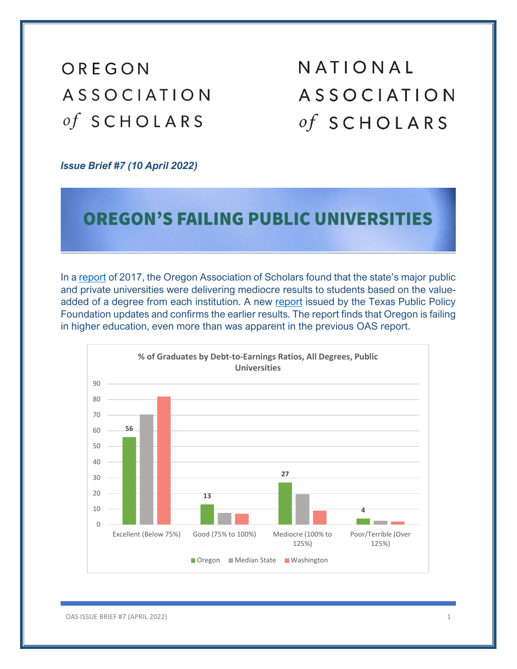OREGON **ASSOCIATION** of SCHOLARS

NATIONAL **ASSOCIATION** of SCHOLARS

*Issue Brief #7 (10 April 2022)* 

## **OREGON'S FAILING PUBLIC UNIVERSITIES**

In a [report](https://www.oregonscholars.org/wp-content/uploads/0_ValueofUniversities_MainReport.pdf) of 2017, the Oregon Association of Scholars found that the state's major public and private universities were delivering mediocre results to students based on the valueadded of a degree from each institution. A new [report](https://www.texaspolicy.com/wp-content/uploads/2021/10/2021-06-RR-Gillen-NGT-State-Ranking-Loan-Debt-and-Earnings.pdf) issued by the Texas Public Policy Foundation updates and confirms the earlier results. The report finds that Oregon is failing in higher education, even more than was apparent in the previous OAS report.

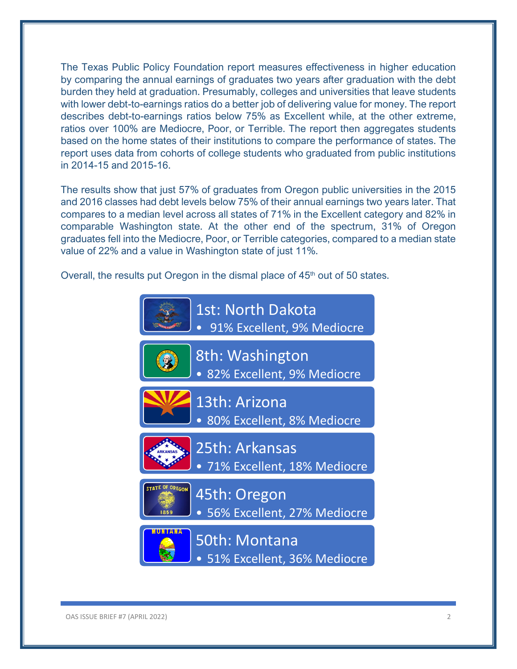The Texas Public Policy Foundation report measures effectiveness in higher education by comparing the annual earnings of graduates two years after graduation with the debt burden they held at graduation. Presumably, colleges and universities that leave students with lower debt-to-earnings ratios do a better job of delivering value for money. The report describes debt-to-earnings ratios below 75% as Excellent while, at the other extreme, ratios over 100% are Mediocre, Poor, or Terrible. The report then aggregates students based on the home states of their institutions to compare the performance of states. The report uses data from cohorts of college students who graduated from public institutions in 2014-15 and 2015-16.

The results show that just 57% of graduates from Oregon public universities in the 2015 and 2016 classes had debt levels below 75% of their annual earnings two years later. That compares to a median level across all states of 71% in the Excellent category and 82% in comparable Washington state. At the other end of the spectrum, 31% of Oregon graduates fell into the Mediocre, Poor, or Terrible categories, compared to a median state value of 22% and a value in Washington state of just 11%.

Overall, the results put Oregon in the dismal place of  $45<sup>th</sup>$  out of 50 states.

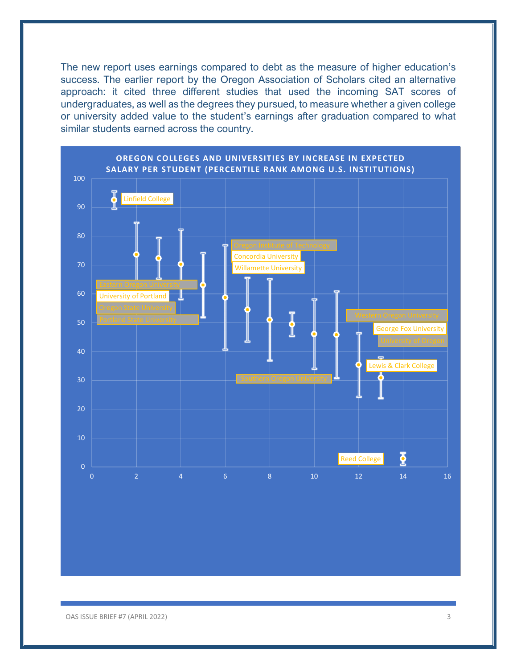The new report uses earnings compared to debt as the measure of higher education's success. The earlier report by the Oregon Association of Scholars cited an alternative approach: it cited three different studies that used the incoming SAT scores of undergraduates, as well as the degrees they pursued, to measure whether a given college or university added value to the student's earnings after graduation compared to what similar students earned across the country.